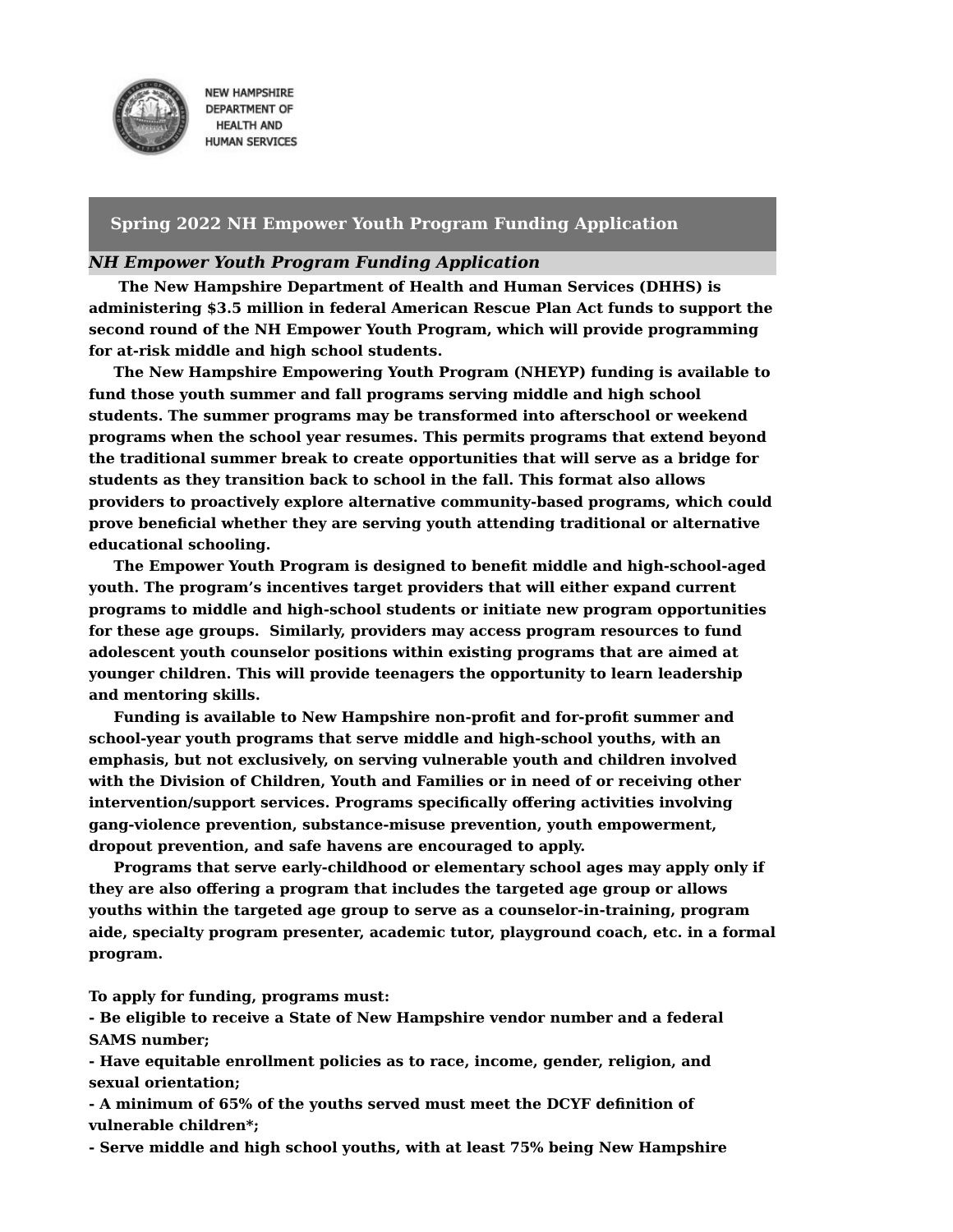

**NEW HAMPSHIRE DEPARTMENT OF HEALTH AND HUMAN SERVICES** 

## **Spring 2022 NH Empower Youth Program Funding Application**

### *NH Empower Youth Program Funding Application*

**The New Hampshire Department of Health and Human Services (DHHS) is administering \$3.5 million in federal American Rescue Plan Act funds to support the second round of the NH Empower Youth Program, which will provide programming for at-risk middle and high school students.**

**The New Hampshire Empowering Youth Program (NHEYP) funding is available to fund those youth summer and fall programs serving middle and high school students. The summer programs may be transformed into afterschool or weekend programs when the school year resumes. This permits programs that extend beyond the traditional summer break to create opportunities that will serve as a bridge for students as they transition back to school in the fall. This format also allows providers to proactively explore alternative community-based programs, which could prove beneficial whether they are serving youth attending traditional or alternative educational schooling.**

**The Empower Youth Program is designed to benefit middle and high-school-aged youth. The program's incentives target providers that will either expand current programs to middle and high-school students or initiate new program opportunities for these age groups. Similarly, providers may access program resources to fund adolescent youth counselor positions within existing programs that are aimed at younger children. This will provide teenagers the opportunity to learn leadership and mentoring skills.**

**Funding is available to New Hampshire non-profit and for-profit summer and school-year youth programs that serve middle and high-school youths, with an emphasis, but not exclusively, on serving vulnerable youth and children involved with the Division of Children, Youth and Families or in need of or receiving other intervention/support services. Programs specifically offering activities involving gang-violence prevention, substance-misuse prevention, youth empowerment, dropout prevention, and safe havens are encouraged to apply.**

**Programs that serve early-childhood or elementary school ages may apply only if they are also offering a program that includes the targeted age group or allows youths within the targeted age group to serve as a counselor-in-training, program aide, specialty program presenter, academic tutor, playground coach, etc. in a formal program.**

**To apply for funding, programs must:**

**- Be eligible to receive a State of New Hampshire vendor number and a federal SAMS number;**

**- Have equitable enrollment policies as to race, income, gender, religion, and sexual orientation;**

**- A minimum of 65% of the youths served must meet the DCYF definition of vulnerable children\*;**

**- Serve middle and high school youths, with at least 75% being New Hampshire**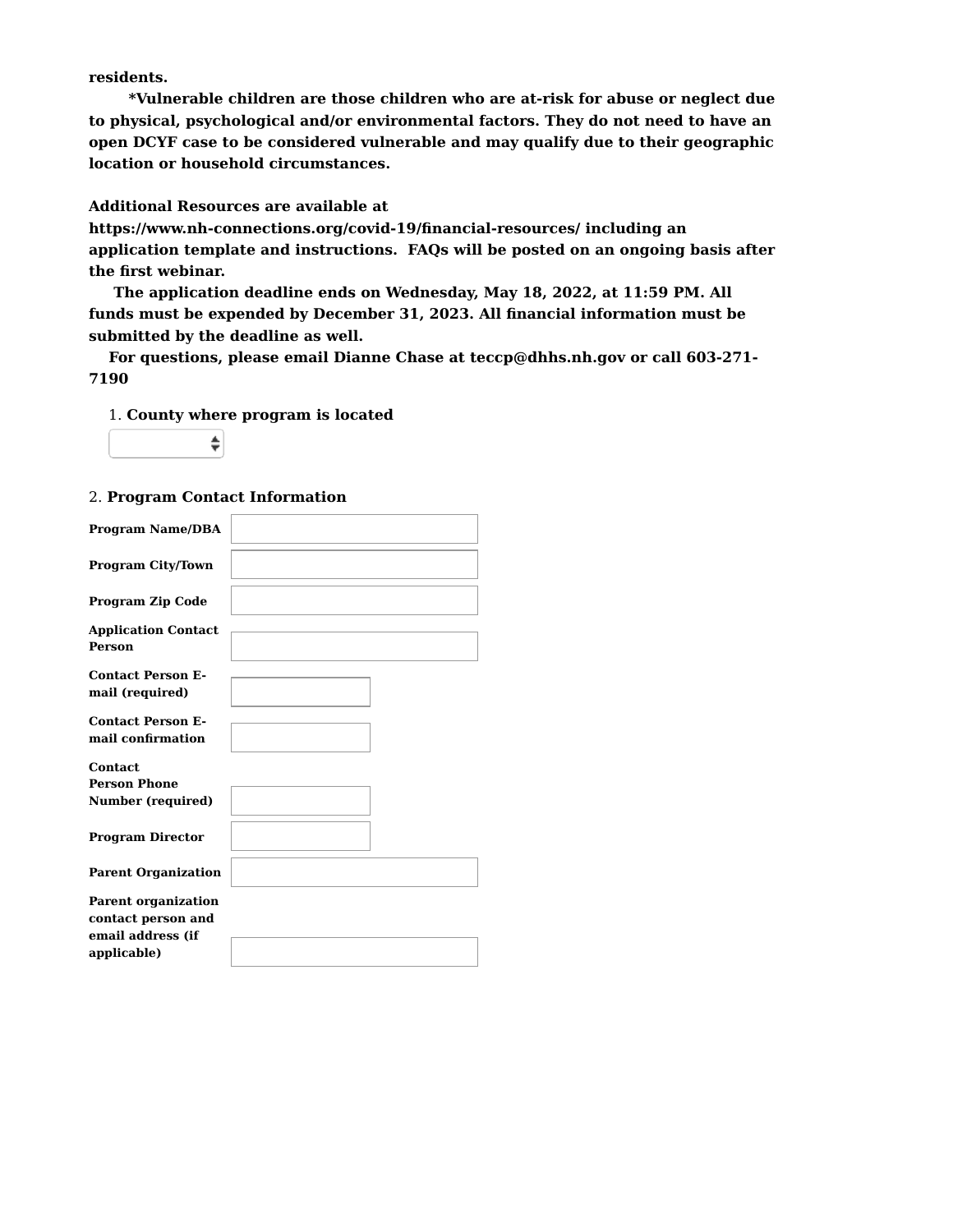**residents.**

**\*Vulnerable children are those children who are at-risk for abuse or neglect due to physical, psychological and/or environmental factors. They do not need to have an open DCYF case to be considered vulnerable and may qualify due to their geographic location or household circumstances.**

**Additional Resources are available at**

**https://www.nh-connections.org/covid-19/financial-resources/ including an application template and instructions. FAQs will be posted on an ongoing basis after the first webinar.**

**The application deadline ends on Wednesday, May 18, 2022, at 11:59 PM. All funds must be expended by December 31, 2023. All financial information must be submitted by the deadline as well.**

**For questions, please email Dianne Chase at teccp@dhhs.nh.gov or call 603-271- 7190**

1. **County where program is located**

÷

### 2. **Program Contact Information**

| <b>Program Name/DBA</b>              |  |
|--------------------------------------|--|
| <b>Program City/Town</b>             |  |
|                                      |  |
| <b>Program Zip Code</b>              |  |
|                                      |  |
| <b>Application Contact</b><br>Person |  |
|                                      |  |
| <b>Contact Person E-</b>             |  |
|                                      |  |
| mail (required)                      |  |
|                                      |  |
| <b>Contact Person E-</b>             |  |
|                                      |  |
| mail confirmation                    |  |
|                                      |  |
|                                      |  |
| <b>Contact</b>                       |  |
| <b>Person Phone</b>                  |  |
|                                      |  |
| Number (required)                    |  |
|                                      |  |
|                                      |  |
| <b>Program Director</b>              |  |
|                                      |  |
|                                      |  |
| <b>Parent Organization</b>           |  |
|                                      |  |
|                                      |  |
| <b>Parent organization</b>           |  |
| contact person and                   |  |
|                                      |  |
| email address (if                    |  |
| applicable)                          |  |
|                                      |  |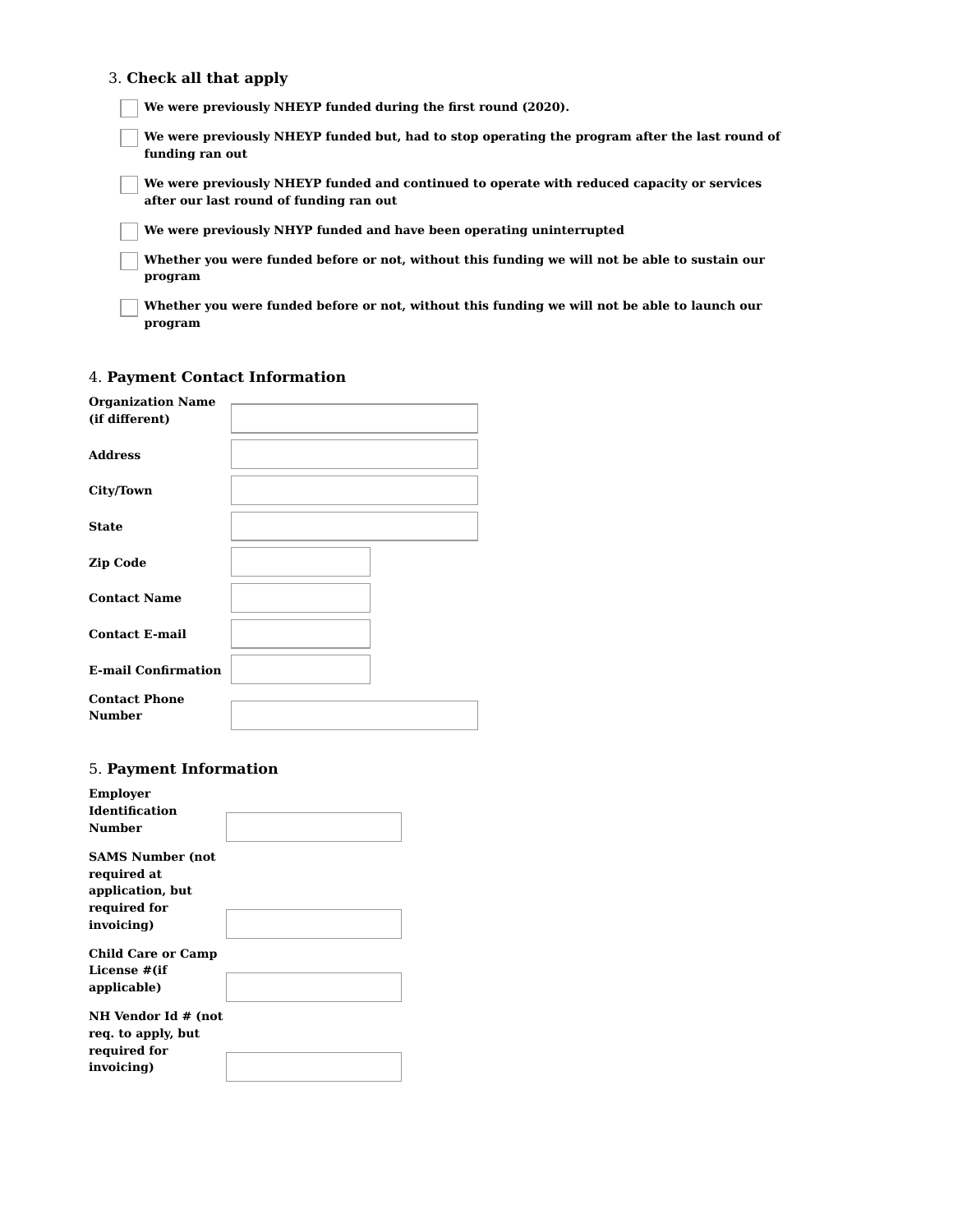#### 3. **Check all that apply**

**We were previously NHEYP funded during the first round (2020).**

**We were previously NHEYP funded but, had to stop operating the program after the last round of funding ran out**

**We were previously NHEYP funded and continued to operate with reduced capacity or services after our last round of funding ran out**

**We were previously NHYP funded and have been operating uninterrupted**

**Whether you were funded before or not, without this funding we will not be able to sustain our program**

**Whether you were funded before or not, without this funding we will not be able to launch our program**

### 4. **Payment Contact Information**

| <b>Organization Name</b>   |  |
|----------------------------|--|
| (if different)             |  |
|                            |  |
| <b>Address</b>             |  |
|                            |  |
| City/Town                  |  |
|                            |  |
| <b>State</b>               |  |
|                            |  |
| <b>Zip Code</b>            |  |
|                            |  |
| <b>Contact Name</b>        |  |
|                            |  |
| <b>Contact E-mail</b>      |  |
|                            |  |
| <b>E-mail Confirmation</b> |  |
| <b>Contact Phone</b>       |  |
|                            |  |
| <b>Number</b>              |  |

### 5. **Payment Information**

| <b>Employer</b><br><b>Identification</b><br>Number                                       |  |
|------------------------------------------------------------------------------------------|--|
| <b>SAMS Number (not</b><br>required at<br>application, but<br>required for<br>invoicing) |  |
| <b>Child Care or Camp</b><br>License #(if<br>applicable)                                 |  |
| NH Vendor Id # (not<br>req. to apply, but<br>required for<br>invoicing)                  |  |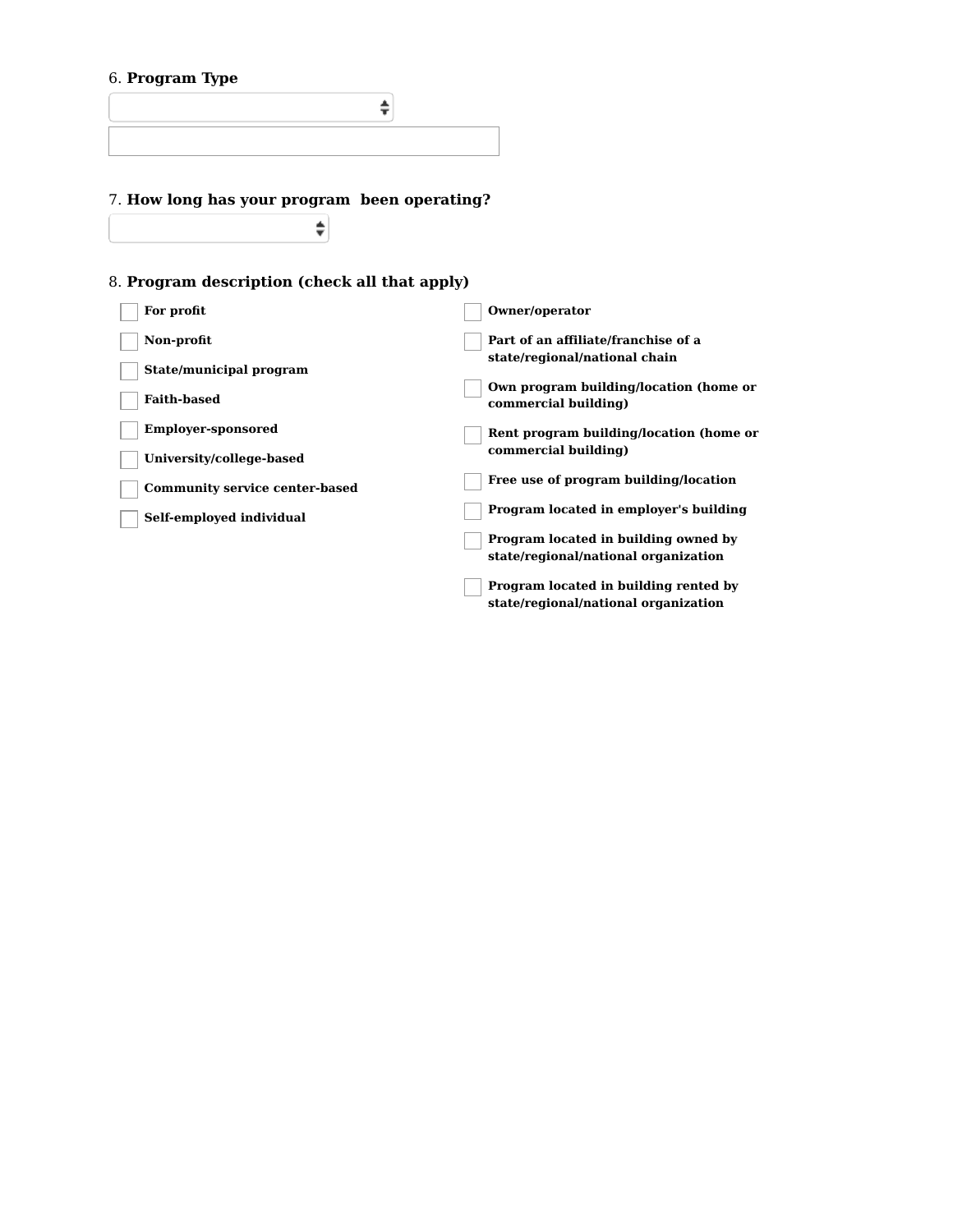## 6. **Program Type**

# 7. **How long has your program been operating?**

 $\overline{\bullet}$ 

# 8. **Program description (check all that apply)**

| For profit                            | Owner/operator                                                                |
|---------------------------------------|-------------------------------------------------------------------------------|
| Non-profit                            | Part of an affiliate/franchise of a<br>state/regional/national chain          |
| State/municipal program               |                                                                               |
| <b>Faith-based</b>                    | Own program building/location (home or<br>commercial building)                |
| <b>Employer-sponsored</b>             | Rent program building/location (home or                                       |
| University/college-based              | commercial building)                                                          |
| <b>Community service center-based</b> | Free use of program building/location                                         |
| Self-employed individual              | Program located in employer's building                                        |
|                                       | Program located in building owned by<br>state/regional/national organization  |
|                                       | Program located in building rented by<br>state/regional/national organization |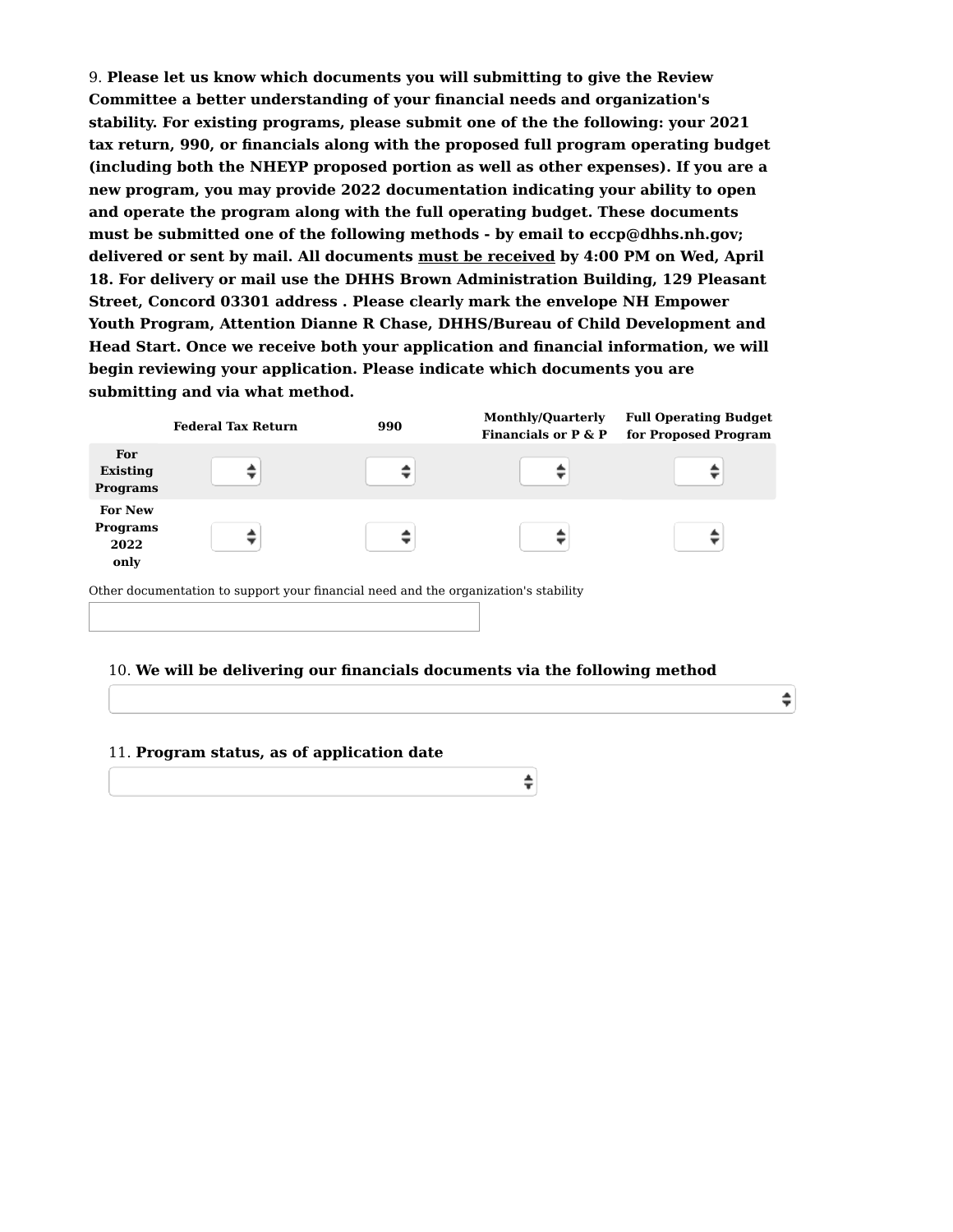9. **Please let us know which documents you will submitting to give the Review Committee a better understanding of your financial needs and organization's stability. For existing programs, please submit one of the the following: your 2021 tax return, 990, or financials along with the proposed full program operating budget (including both the NHEYP proposed portion as well as other expenses). If you are a new program, you may provide 2022 documentation indicating your ability to open and operate the program along with the full operating budget. These documents must be submitted one of the following methods - by email to eccp@dhhs.nh.gov; delivered or sent by mail. All documents must be received by 4:00 PM on Wed, April 18. For delivery or mail use the DHHS Brown Administration Building, 129 Pleasant Street, Concord 03301 address . Please clearly mark the envelope NH Empower Youth Program, Attention Dianne R Chase, DHHS/Bureau of Child Development and Head Start. Once we receive both your application and financial information, we will begin reviewing your application. Please indicate which documents you are submitting and via what method.**

|                                                                                     | <b>Federal Tax Return</b> | 990 | <b>Monthly/Quarterly</b><br>Financials or $P \& P$ | <b>Full Operating Budget</b><br>for Proposed Program |
|-------------------------------------------------------------------------------------|---------------------------|-----|----------------------------------------------------|------------------------------------------------------|
| For<br>Existing<br>Programs                                                         |                           |     |                                                    |                                                      |
| <b>For New</b><br><b>Programs</b><br>2022<br>only                                   |                           |     |                                                    |                                                      |
| Other documentation to support your financial need and the organization's stability |                           |     |                                                    |                                                      |

#### 10. **We will be delivering our financials documents via the following method**

÷

÷

### 11. **Program status, as of application date**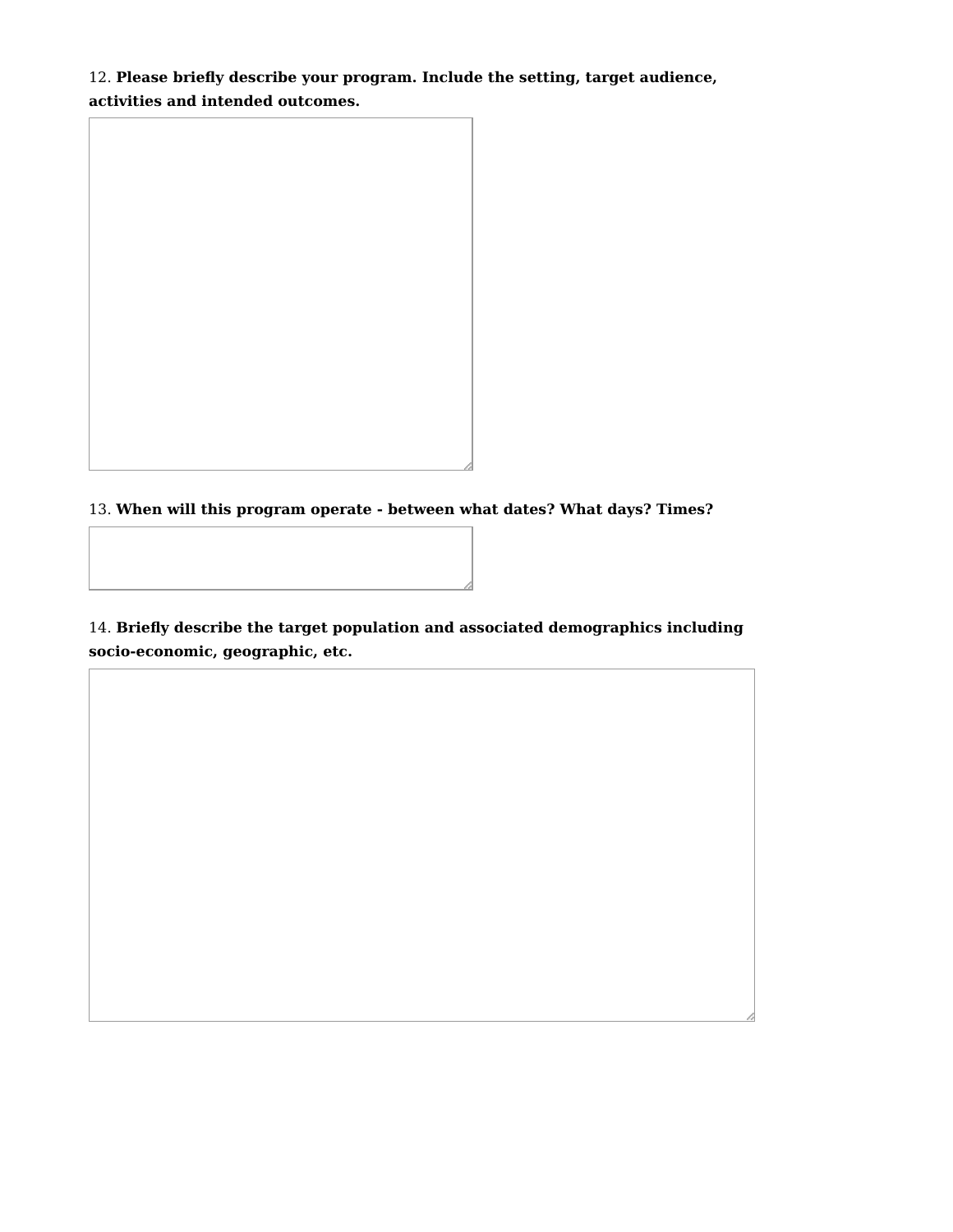12. **Please briefly describe your program. Include the setting, target audience, activities and intended outcomes.**



13. **When will this program operate - between what dates? What days? Times?**

14. **Briefly describe the target population and associated demographics including socio-economic, geographic, etc.**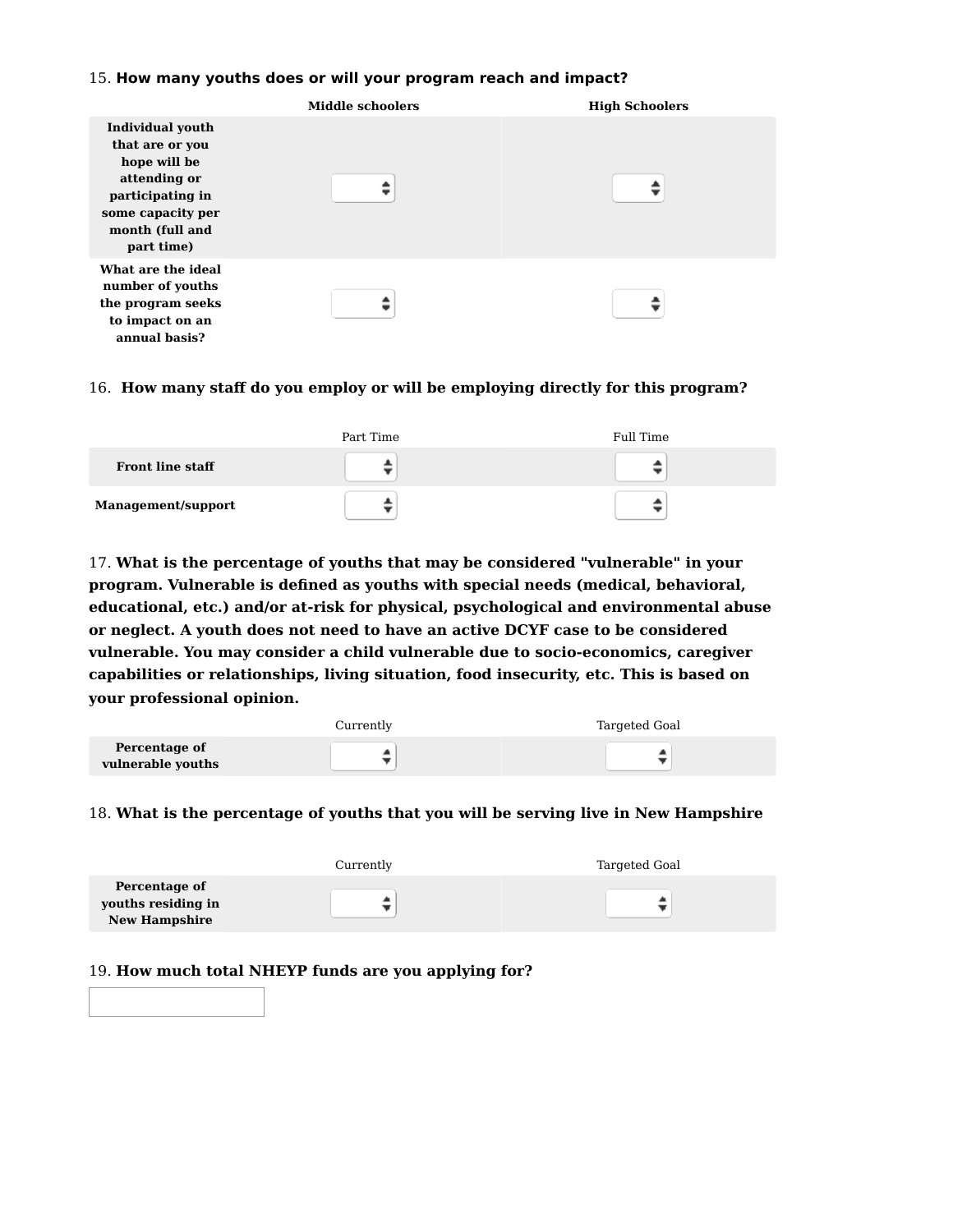### 15. **How many youths does or will your program reach and impact?**

|                                                                                                                                                      | <b>Middle schoolers</b> | <b>High Schoolers</b> |
|------------------------------------------------------------------------------------------------------------------------------------------------------|-------------------------|-----------------------|
| <b>Individual youth</b><br>that are or you<br>hope will be<br>attending or<br>participating in<br>some capacity per<br>month (full and<br>part time) |                         |                       |
| What are the ideal<br>number of youths<br>the program seeks<br>to impact on an<br>annual basis?                                                      |                         |                       |

## 16. **How many staff do you employ or will be employing directly for this program?**

|                         | Part Time | Full Time |
|-------------------------|-----------|-----------|
| <b>Front line staff</b> |           |           |
| Management/support      |           |           |

17. **What is the percentage of youths that may be considered "vulnerable" in your program. Vulnerable is defined as youths with special needs (medical, behavioral, educational, etc.) and/or at-risk for physical, psychological and environmental abuse or neglect. A youth does not need to have an active DCYF case to be considered vulnerable. You may consider a child vulnerable due to socio-economics, caregiver capabilities or relationships, living situation, food insecurity, etc. This is based on your professional opinion.**

|                   | Currently | Targeted Goal |
|-------------------|-----------|---------------|
| Percentage of     |           |               |
| vulnerable youths |           |               |

## 18. **What is the percentage of youths that you will be serving live in New Hampshire**

|                                                             | Currently | Targeted Goal |
|-------------------------------------------------------------|-----------|---------------|
| Percentage of<br>youths residing in<br><b>New Hampshire</b> | ▲         |               |

### 19. **How much total NHEYP funds are you applying for?**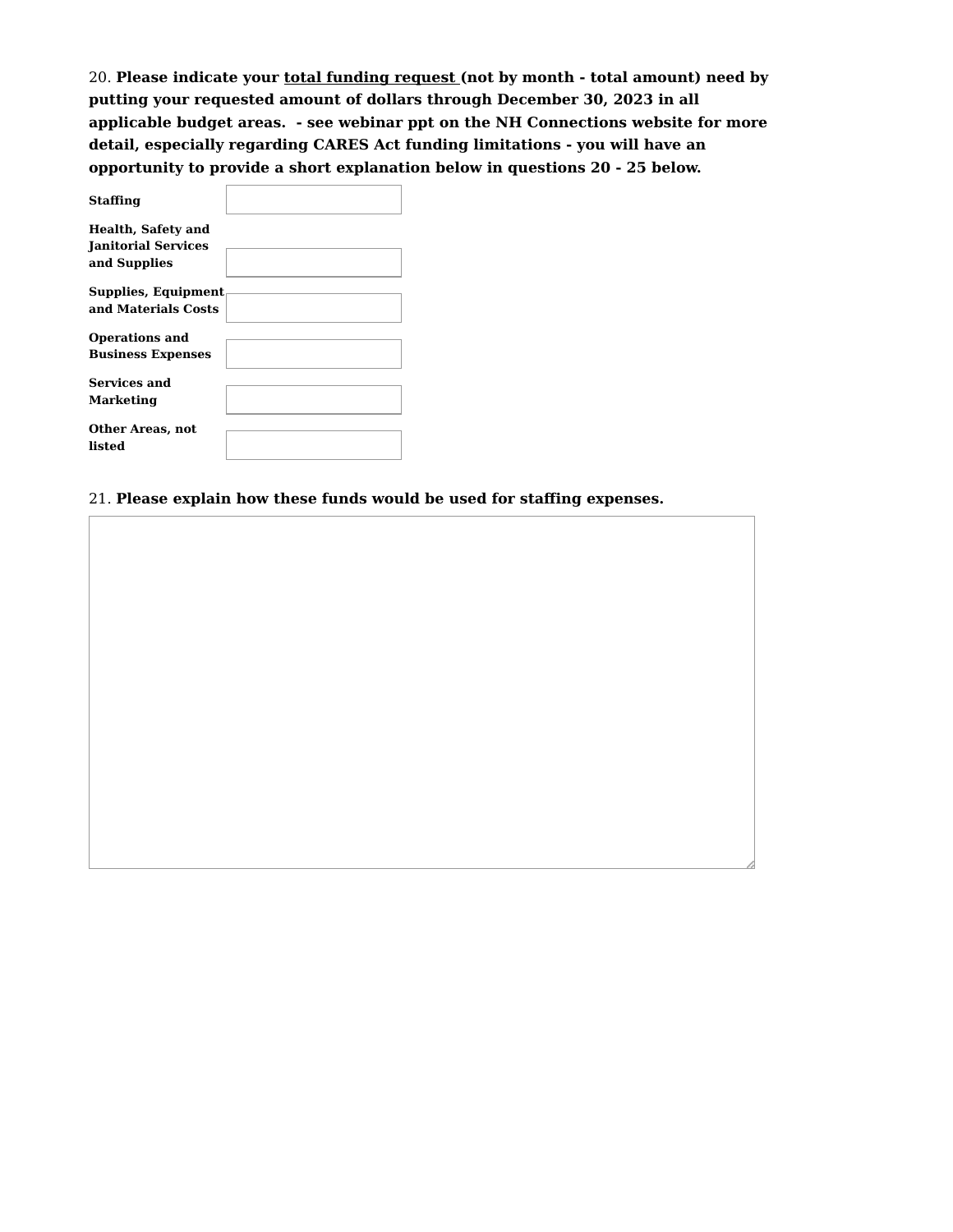20. **Please indicate your total funding request (not by month - total amount) need by putting your requested amount of dollars through December 30, 2023 in all applicable budget areas. - see webinar ppt on the NH Connections website for more detail, especially regarding CARES Act funding limitations - you will have an opportunity to provide a short explanation below in questions 20 - 25 below.**

| <b>Staffing</b>                                                         |  |
|-------------------------------------------------------------------------|--|
| <b>Health, Safety and</b><br><b>Ianitorial Services</b><br>and Supplies |  |
| Supplies, Equipment<br>and Materials Costs                              |  |
| <b>Operations and</b><br><b>Business Expenses</b>                       |  |
| <b>Services and</b><br>Marketing                                        |  |
| Other Areas, not<br>listed                                              |  |

21. **Please explain how these funds would be used for staffing expenses.**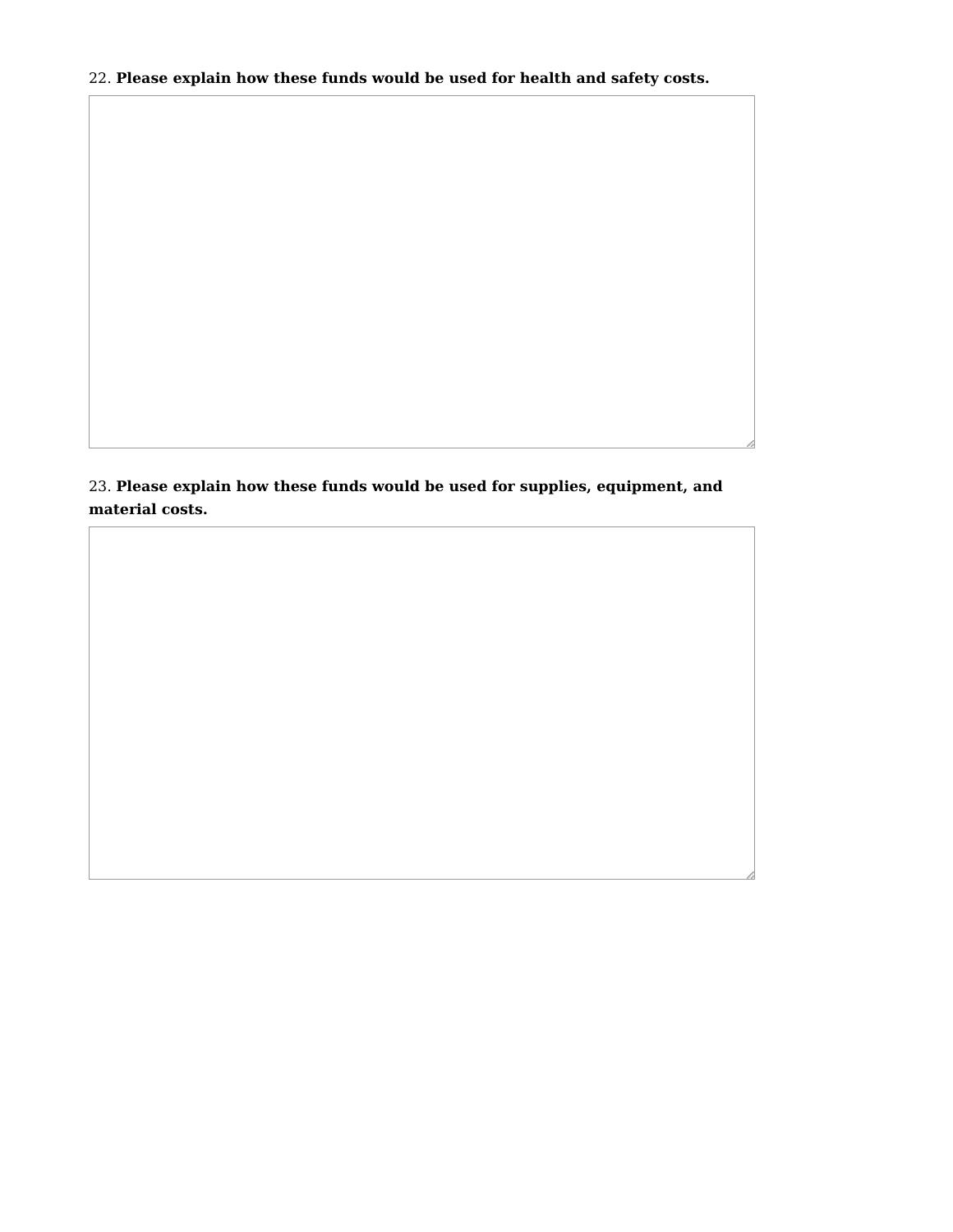## 22. **Please explain how these funds would be used for health and safety costs.**

23. **Please explain how these funds would be used for supplies, equipment, and material costs.**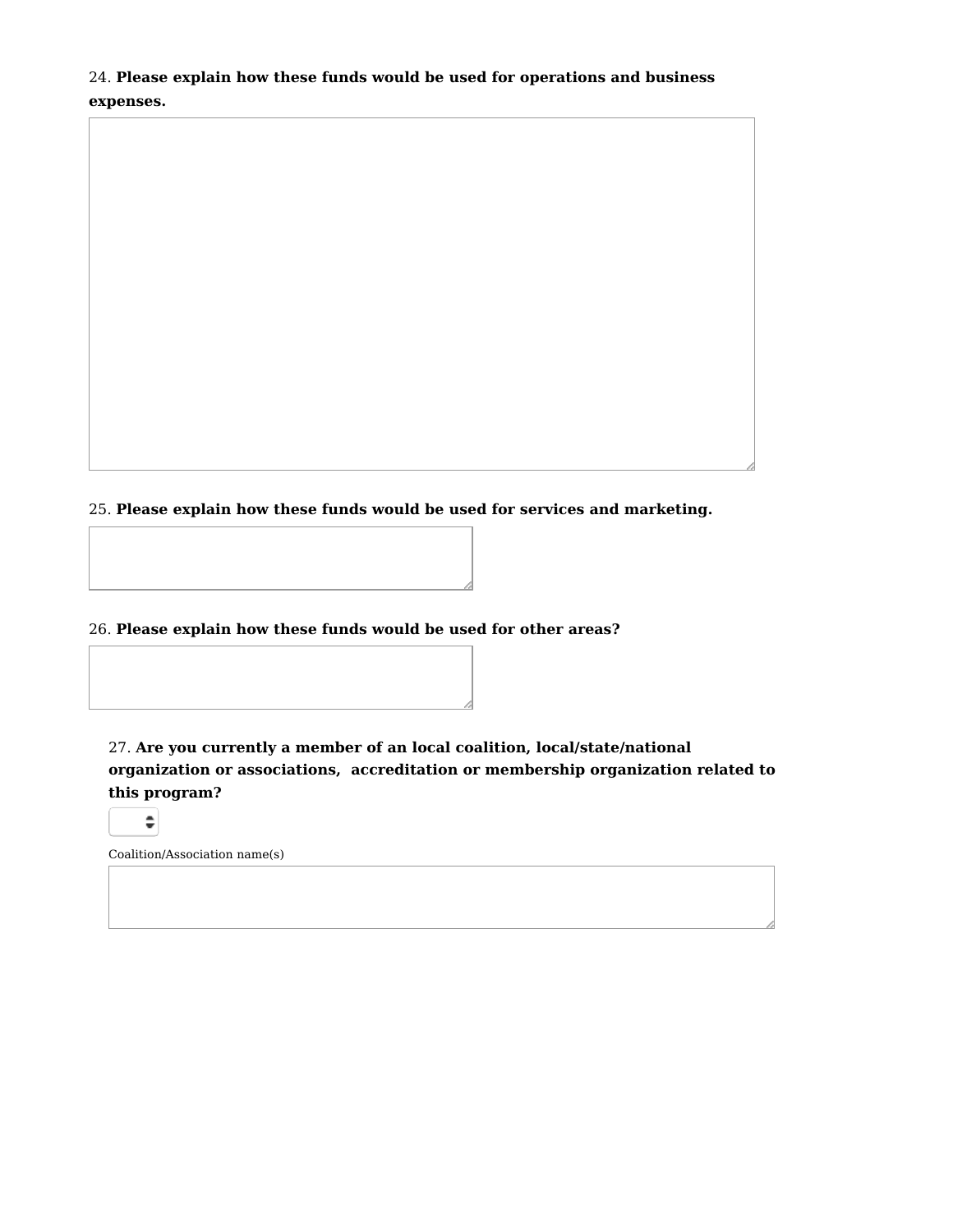24. **Please explain how these funds would be used for operations and business expenses.**

25. **Please explain how these funds would be used for services and marketing.**

26. **Please explain how these funds would be used for other areas?**

27. **Are you currently a member of an local coalition, local/state/national organization or associations, accreditation or membership organization related to this program?**

 $\hat{\mathbb{I}}$ 

Coalition/Association name(s)